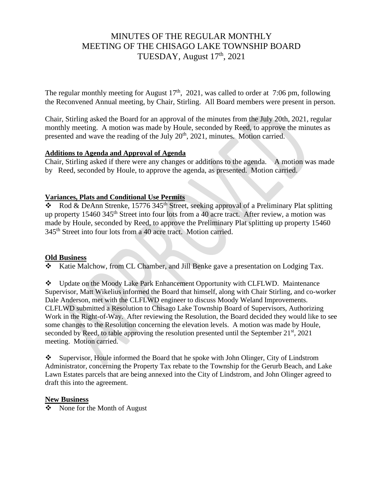# MINUTES OF THE REGULAR MONTHLY MEETING OF THE CHISAGO LAKE TOWNSHIP BOARD TUESDAY, August 17th, 2021

The regular monthly meeting for August  $17<sup>th</sup>$ , 2021, was called to order at 7:06 pm, following the Reconvened Annual meeting, by Chair, Stirling. All Board members were present in person.

Chair, Stirling asked the Board for an approval of the minutes from the July 20th, 2021, regular monthly meeting. A motion was made by Houle, seconded by Reed, to approve the minutes as presented and wave the reading of the July 20<sup>th</sup>, 2021, minutes. Motion carried.

#### **Additions to Agenda and Approval of Agenda**

Chair, Stirling asked if there were any changes or additions to the agenda. A motion was made by Reed, seconded by Houle, to approve the agenda, as presented. Motion carried.

## **Variances, Plats and Conditional Use Permits**

 $\bullet$  Rod & DeAnn Strenke, 15776 345<sup>th</sup> Street, seeking approval of a Preliminary Plat splitting up property 15460 345<sup>th</sup> Street into four lots from a 40 acre tract. After review, a motion was made by Houle, seconded by Reed, to approve the Preliminary Plat splitting up property 15460 345th Street into four lots from a 40 acre tract. Motion carried.

#### **Old Business**

❖ Katie Malchow, from CL Chamber, and Jill Benke gave a presentation on Lodging Tax.

❖ Update on the Moody Lake Park Enhancement Opportunity with CLFLWD. Maintenance Supervisor, Matt Wikelius informed the Board that himself, along with Chair Stirling, and co-worker Dale Anderson, met with the CLFLWD engineer to discuss Moody Weland Improvements. CLFLWD submitted a Resolution to Chisago Lake Township Board of Supervisors, Authorizing Work in the Right-of-Way. After reviewing the Resolution, the Board decided they would like to see some changes to the Resolution concerning the elevation levels. A motion was made by Houle, seconded by Reed, to table approving the resolution presented until the September 21<sup>st</sup>, 2021 meeting. Motion carried.

❖ Supervisor, Houle informed the Board that he spoke with John Olinger, City of Lindstrom Administrator, concerning the Property Tax rebate to the Township for the Gerurb Beach, and Lake Lawn Estates parcels that are being annexed into the City of Lindstrom, and John Olinger agreed to draft this into the agreement.

#### **New Business**

❖ None for the Month of August